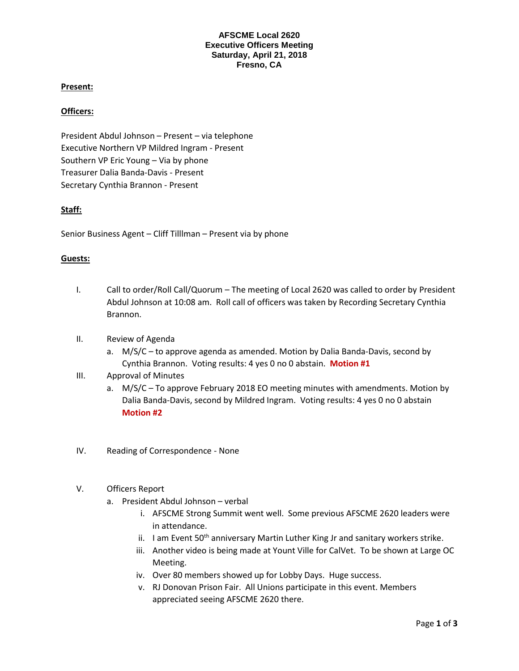### **AFSCME Local 2620 Executive Officers Meeting Saturday, April 21, 2018 Fresno, CA**

# **Present:**

### **Officers:**

President Abdul Johnson – Present – via telephone Executive Northern VP Mildred Ingram - Present Southern VP Eric Young – Via by phone Treasurer Dalia Banda-Davis - Present Secretary Cynthia Brannon - Present

# **Staff:**

Senior Business Agent – Cliff Tilllman – Present via by phone

# **Guests:**

- I. Call to order/Roll Call/Quorum The meeting of Local 2620 was called to order by President Abdul Johnson at 10:08 am. Roll call of officers was taken by Recording Secretary Cynthia Brannon.
- II. Review of Agenda
	- a. M/S/C to approve agenda as amended. Motion by Dalia Banda-Davis, second by Cynthia Brannon. Voting results: 4 yes 0 no 0 abstain. **Motion #1**
- III. Approval of Minutes
	- a. M/S/C To approve February 2018 EO meeting minutes with amendments. Motion by Dalia Banda-Davis, second by Mildred Ingram. Voting results: 4 yes 0 no 0 abstain **Motion #2**
- IV. Reading of Correspondence None
- V. Officers Report
	- a. President Abdul Johnson verbal
		- i. AFSCME Strong Summit went well. Some previous AFSCME 2620 leaders were in attendance.
		- ii. I am Event  $50<sup>th</sup>$  anniversary Martin Luther King Jr and sanitary workers strike.
		- iii. Another video is being made at Yount Ville for CalVet. To be shown at Large OC Meeting.
		- iv. Over 80 members showed up for Lobby Days. Huge success.
		- v. RJ Donovan Prison Fair. All Unions participate in this event. Members appreciated seeing AFSCME 2620 there.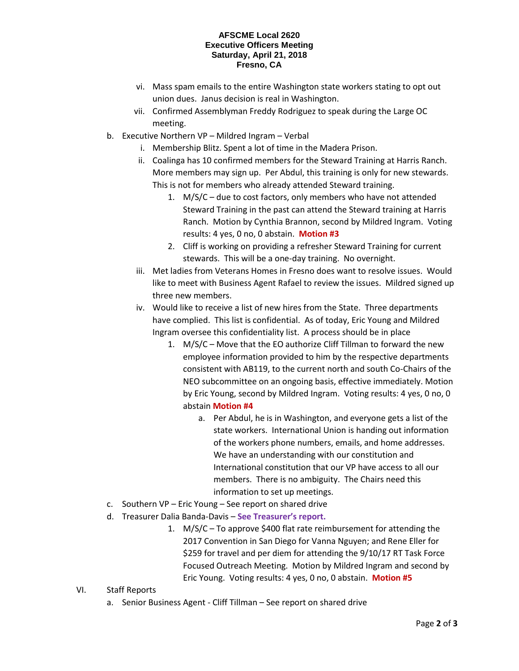#### **AFSCME Local 2620 Executive Officers Meeting Saturday, April 21, 2018 Fresno, CA**

- vi. Mass spam emails to the entire Washington state workers stating to opt out union dues. Janus decision is real in Washington.
- vii. Confirmed Assemblyman Freddy Rodriguez to speak during the Large OC meeting.
- b. Executive Northern VP Mildred Ingram Verbal
	- i. Membership Blitz. Spent a lot of time in the Madera Prison.
	- ii. Coalinga has 10 confirmed members for the Steward Training at Harris Ranch. More members may sign up. Per Abdul, this training is only for new stewards. This is not for members who already attended Steward training.
		- 1. M/S/C due to cost factors, only members who have not attended Steward Training in the past can attend the Steward training at Harris Ranch. Motion by Cynthia Brannon, second by Mildred Ingram. Voting results: 4 yes, 0 no, 0 abstain. **Motion #3**
		- 2. Cliff is working on providing a refresher Steward Training for current stewards. This will be a one-day training. No overnight.
	- iii. Met ladies from Veterans Homes in Fresno does want to resolve issues. Would like to meet with Business Agent Rafael to review the issues. Mildred signed up three new members.
	- iv. Would like to receive a list of new hires from the State. Three departments have complied. This list is confidential. As of today, Eric Young and Mildred Ingram oversee this confidentiality list. A process should be in place
		- 1. M/S/C Move that the EO authorize Cliff Tillman to forward the new employee information provided to him by the respective departments consistent with AB119, to the current north and south Co-Chairs of the NEO subcommittee on an ongoing basis, effective immediately. Motion by Eric Young, second by Mildred Ingram. Voting results: 4 yes, 0 no, 0 abstain **Motion #4**
			- a. Per Abdul, he is in Washington, and everyone gets a list of the state workers. International Union is handing out information of the workers phone numbers, emails, and home addresses. We have an understanding with our constitution and International constitution that our VP have access to all our members. There is no ambiguity. The Chairs need this information to set up meetings.
- c. Southern VP Eric Young See report on shared drive
- d. Treasurer Dalia Banda-Davis **See Treasurer's report.**
	- 1. M/S/C To approve \$400 flat rate reimbursement for attending the 2017 Convention in San Diego for Vanna Nguyen; and Rene Eller for \$259 for travel and per diem for attending the 9/10/17 RT Task Force Focused Outreach Meeting. Motion by Mildred Ingram and second by Eric Young. Voting results: 4 yes, 0 no, 0 abstain. **Motion #5**
- VI. Staff Reports
	- a. Senior Business Agent Cliff Tillman See report on shared drive